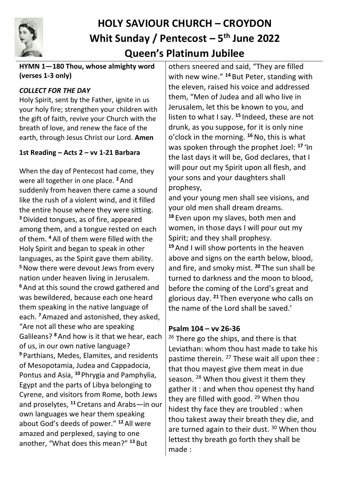

# **HOLY SAVIOUR CHURCH – CROYDON Whit Sunday / Pentecost – 5 th June 2022 Queen's Platinum Jubilee**

#### **HYMN 1—180 Thou, whose almighty word (verses 1-3 only)**

#### *COLLECT FOR THE DAY*

Holy Spirit, sent by the Father, ignite in us your holy fire; strengthen your children with the gift of faith, revive your Church with the breath of love, and renew the face of the earth, through Jesus Christ our Lord. **Amen**

#### **1st Reading – Acts 2 – vv 1-21 Barbara**

When the day of Pentecost had come, they were all together in one place. **<sup>2</sup>** And suddenly from heaven there came a sound like the rush of a violent wind, and it filled the entire house where they were sitting. **<sup>3</sup>**Divided tongues, as of fire, appeared among them, and a tongue rested on each of them. **<sup>4</sup>** All of them were filled with the Holy Spirit and began to speak in other languages, as the Spirit gave them ability. **<sup>5</sup>**Now there were devout Jews from every nation under heaven living in Jerusalem. **<sup>6</sup>** And at this sound the crowd gathered and was bewildered, because each one heard them speaking in the native language of each. **<sup>7</sup>**Amazed and astonished, they asked, "Are not all these who are speaking Galileans? **<sup>8</sup>** And how is it that we hear, each of us, in our own native language? **<sup>9</sup>** Parthians, Medes, Elamites, and residents of Mesopotamia, Judea and Cappadocia, Pontus and Asia, **<sup>10</sup>** Phrygia and Pamphylia, Egypt and the parts of Libya belonging to Cyrene, and visitors from Rome, both Jews and proselytes, **<sup>11</sup>** Cretans and Arabs—in our own languages we hear them speaking about God's deeds of power." **<sup>12</sup>** All were amazed and perplexed, saying to one another, "What does this mean?" **<sup>13</sup>** But

others sneered and said, "They are filled with new wine." **<sup>14</sup>** But Peter, standing with the eleven, raised his voice and addressed them, "Men of Judea and all who live in Jerusalem, let this be known to you, and listen to what I say. **<sup>15</sup>** Indeed, these are not drunk, as you suppose, for it is only nine o'clock in the morning. **<sup>16</sup>**No, this is what was spoken through the prophet Joel: **<sup>17</sup>** 'In the last days it will be, God declares, that I will pour out my Spirit upon all flesh, and your sons and your daughters shall prophesy,

and your young men shall see visions, and your old men shall dream dreams. **<sup>18</sup>** Even upon my slaves, both men and women, in those days I will pour out my Spirit; and they shall prophesy. **<sup>19</sup>** And I will show portents in the heaven above and signs on the earth below, blood, and fire, and smoky mist. **<sup>20</sup>** The sun shall be turned to darkness and the moon to blood, before the coming of the Lord's great and glorious day. **<sup>21</sup>** Then everyone who calls on the name of the Lord shall be saved.'

#### **Psalm 104 – vv 26-36**

 $26$  There go the ships, and there is that Leviathan: whom thou hast made to take his pastime therein. <sup>27</sup> These wait all upon thee : that thou mayest give them meat in due season. <sup>28</sup> When thou givest it them they gather it : and when thou openest thy hand they are filled with good.  $29$  When thou hidest thy face they are troubled : when thou takest away their breath they die, and are turned again to their dust.<sup>30</sup> When thou lettest thy breath go forth they shall be made :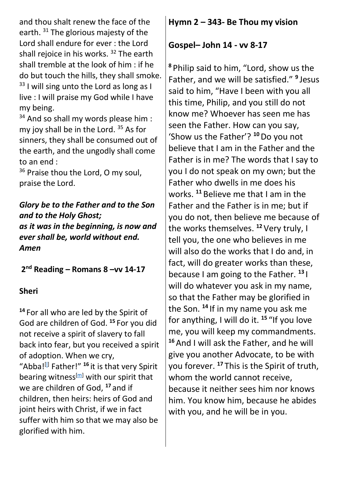and thou shalt renew the face of the earth.<sup>31</sup> The glorious majesty of the Lord shall endure for ever : the Lord shall rejoice in his works.<sup>32</sup> The earth shall tremble at the look of him : if he do but touch the hills, they shall smoke.  $33$  I will sing unto the Lord as long as I live : I will praise my God while I have my being.

<sup>34</sup> And so shall my words please him : my joy shall be in the Lord.<sup>35</sup> As for sinners, they shall be consumed out of the earth, and the ungodly shall come to an end :

<sup>36</sup> Praise thou the Lord, O my soul, praise the Lord.

*Glory be to the Father and to the Son and to the Holy Ghost; as it was in the beginning, is now and ever shall be, world without end. Amen*

**2 nd Reading – Romans 8 –vv 14-17**

#### **Sheri**

**<sup>14</sup>** For all who are led by the Spirit of God are children of God. **<sup>15</sup>** For you did not receive a spirit of slavery to fall back into fear, but you received a spirit of adoption. When we cry, "Abba!<sup>[]</sup> Father!" <sup>16</sup> it is that very Spirit bearing witness<sup>[\[m\]](https://www.biblegateway.com/passage/?search=Romans+8&version=NRSVUE#fen-NRSVUE-28118m)</sup> with our spirit that we are children of God, **<sup>17</sup>** and if children, then heirs: heirs of God and joint heirs with Christ, if we in fact suffer with him so that we may also be glorified with him.

## **Hymn 2 – 343- Be Thou my vision**

#### **Gospel– John 14 - vv 8-17**

**<sup>8</sup>** Philip said to him, "Lord, show us the Father, and we will be satisfied." **<sup>9</sup>** Jesus said to him, "Have I been with you all this time, Philip, and you still do not know me? Whoever has seen me has seen the Father. How can you say, 'Show us the Father'? **<sup>10</sup>**Do you not believe that I am in the Father and the Father is in me? The words that I say to you I do not speak on my own; but the Father who dwells in me does his works. **<sup>11</sup>** Believe me that I am in the Father and the Father is in me; but if you do not, then believe me because of the works themselves. **<sup>12</sup>**Very truly, I tell you, the one who believes in me will also do the works that I do and, in fact, will do greater works than these, because I am going to the Father. **<sup>13</sup>** I will do whatever you ask in my name, so that the Father may be glorified in the Son. **<sup>14</sup>** If in my name you ask me for anything, I will do it. **<sup>15</sup>** "If you love me, you will keep my commandments. **<sup>16</sup>**And I will ask the Father, and he will give you another Advocate, to be with you forever. **<sup>17</sup>** This is the Spirit of truth, whom the world cannot receive, because it neither sees him nor knows him. You know him, because he abides with you, and he will be in you.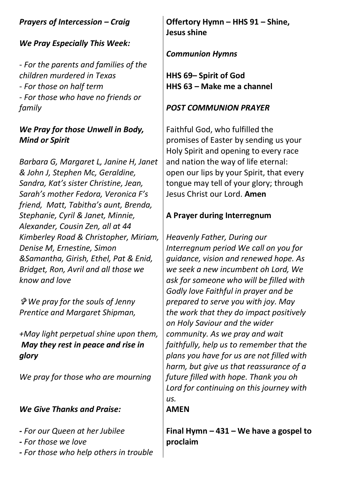# *Prayers of Intercession – Craig*

# *We Pray Especially This Week:*

*- For the parents and families of the children murdered in Texas - For those on half term - For those who have no friends or family*

## *We Pray for those Unwell in Body, Mind or Spirit*

*Barbara G, Margaret L, Janine H, Janet & John J, Stephen Mc, Geraldine, Sandra, Kat's sister Christine, Jean, Sarah's mother Fedora, Veronica F's friend, Matt, Tabitha's aunt, Brenda, Stephanie, Cyril & Janet, Minnie, Alexander, Cousin Zen, all at 44 Kimberley Road & Christopher, Miriam, Denise M, Ernestine, Simon &Samantha, Girish, Ethel, Pat & Enid, Bridget, Ron, Avril and all those we know and love* 

 *We pray for the souls of Jenny Prentice and Margaret Shipman,* 

*+May light perpetual shine upon them, May they rest in peace and rise in glory*

*We pray for those who are mourning*

## *We Give Thanks and Praise:*

- *- For our Queen at her Jubilee*
- *- For those we love*
- *- For those who help others in trouble*

**Offertory Hymn – HHS 91 – Shine, Jesus shine**

## *Communion Hymns*

**HHS 69– Spirit of God HHS 63 – Make me a channel**

### *POST COMMUNION PRAYER*

Faithful God, who fulfilled the promises of Easter by sending us your Holy Spirit and opening to every race and nation the way of life eternal: open our lips by your Spirit, that every tongue may tell of your glory; through Jesus Christ our Lord. **Amen**

## **A Prayer during Interregnum**

*Heavenly Father, During our Interregnum period We call on you for guidance, vision and renewed hope. As we seek a new incumbent oh Lord, We ask for someone who will be filled with Godly love Faithful in prayer and be prepared to serve you with joy. May the work that they do impact positively on Holy Saviour and the wider community. As we pray and wait faithfully, help us to remember that the plans you have for us are not filled with harm, but give us that reassurance of a future filled with hope. Thank you oh Lord for continuing on this journey with us.*

#### **AMEN**

**Final Hymn – 431 – We have a gospel to proclaim**